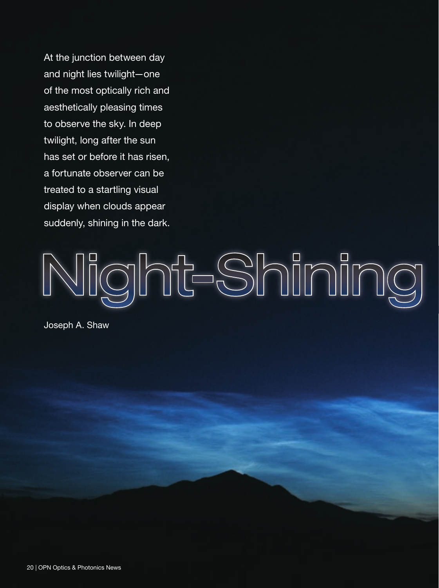At the junction between day and night lies twilight—one of the most optically rich and aesthetically pleasing times to observe the sky. In deep twilight, long after the sun has set or before it has risen, a fortunate observer can be treated to a startling visual display when clouds appear suddenly, shining in the dark.

# Night-Shiming

Joseph A. Shaw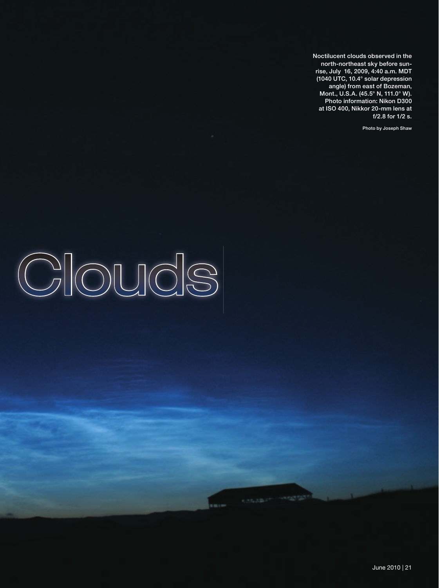Noctilucent clouds observed in the north-northeast sky before sunrise, July 16, 2009, 4:40 a.m. MDT (1040 UTC, 10.4° solar depression angle) from east of Bozeman, Mont., U.S.A. (45.5° N, 111.0° W). Photo information: Nikon D300 at ISO 400, Nikkor 20-mm lens at f/2.8 for 1/2 s.

Photo by Joseph Shaw

## Clouds

**CONSUMING THE PROPERTY**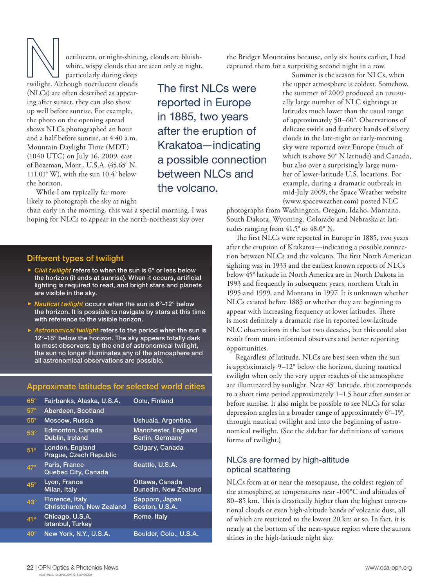octilucent, or night-shining, clouds are bluishwhite, wispy clouds that are seen only at night,

particularly during deep twilight. Although noctilucent clouds (NLCs) are often described as appearing after sunset, they can also show up well before sunrise. For example, the photo on the opening spread shows NLCs photographed an hour and a half before sunrise, at 4:40 a.m. Mountain Daylight Time (MDT) (1040 UTC) on July 16, 2009, east of Bozeman, Mont., U.S.A. (45.65° N, 111.01° W), with the sun 10.4° below the horizon.

While I am typically far more likely to photograph the sky at night

than early in the morning, this was a special morning. I was hoping for NLCs to appear in the north-northeast sky over

## Different types of twilight

- $\triangleright$  *Civil twilight* refers to when the sun is  $6^{\circ}$  or less below the horizon (it ends at sunrise). When it occurs, artificial lighting is required to read, and bright stars and planets are visible in the sky.
- ► *Nautical twilight* occurs when the sun is 6°–12° below the horizon. It is possible to navigate by stars at this time with reference to the visible horizon.
- **Astronomical twilight refers to the period when the sun is** 12°-18° below the horizon. The sky appears totally dark to most observers; by the end of astronomical twilight, the sun no longer illuminates any of the atmosphere and all astronomical observations are possible.

## Approximate latitudes for selected world cities

| $65^\circ$   | Fairbanks, Alaska, U.S.A.                                  | Oolu, Finland                                 |
|--------------|------------------------------------------------------------|-----------------------------------------------|
| $57^\circ$   | Aberdeen, Scotland                                         |                                               |
| $55^{\circ}$ | Moscow, Russia                                             | Ushuaia, Argentina                            |
| $53^\circ$   | Edmonton, Canada<br>Dublin, Ireland                        | <b>Manchester, England</b><br>Berlin, Germany |
| $51^\circ$   | London, England<br>Prague, Czech Republic                  | Calgary, Canada                               |
| $47^\circ$   | Paris, France<br><b>Quebec City, Canada</b>                | Seattle, U.S.A.                               |
| $45^\circ$   | Lyon, France<br>Milan, Italy                               | Ottawa, Canada<br>Dunedin, New Zealand        |
| $43^\circ$   | <b>Florence, Italy</b><br><b>Christchurch, New Zealand</b> | Sapporo, Japan<br>Boston, U.S.A.              |
| $41^\circ$   | Chicago, U.S.A.<br>Istanbul, Turkey                        | Rome, Italy                                   |
| $40^{\circ}$ | New York, N.Y., U.S.A.                                     | Boulder, Colo., U.S.A.                        |

The first NLCs were reported in Europe in 1885, two years after the eruption of Krakatoa—indicating a possible connection between NLCs and the volcano.

the Bridger Mountains because, only six hours earlier, I had captured them for a surprising second night in a row.

> Summer is the season for NLCs, when the upper atmosphere is coldest. Somehow, the summer of 2009 produced an unusually large number of NLC sightings at latitudes much lower than the usual range of approximately 50–60°. Observations of delicate swirls and feathery bands of silvery clouds in the late-night or early-morning sky were reported over Europe (much of which is above 50° N latitude) and Canada, but also over a surprisingly large number of lower-latitude U.S. locations. For example, during a dramatic outbreak in mid-July 2009, the Space Weather website (www.spaceweather.com) posted NLC

photographs from Washington, Oregon, Idaho, Montana, South Dakota, Wyoming, Colorado and Nebraska at latitudes ranging from 41.5° to 48.0° N.

The first NLCs were reported in Europe in 1885, two years after the eruption of Krakatoa—indicating a possible connection between NLCs and the volcano. The first North American sighting was in 1933 and the earliest known reports of NLCs below 45° latitude in North America are in North Dakota in 1993 and frequently in subsequent years, northern Utah in 1995 and 1999, and Montana in 1997. It is unknown whether NLCs existed before 1885 or whether they are beginning to appear with increasing frequency at lower latitudes. There is most definitely a dramatic rise in reported low-latitude NLC observations in the last two decades, but this could also result from more informed observers and better reporting opportunities.

Regardless of latitude, NLCs are best seen when the sun is approximately 9–12° below the horizon, during nautical twilight when only the very upper reaches of the atmosphere are illuminated by sunlight. Near 45° latitude, this corresponds to a short time period approximately 1–1.5 hour after sunset or before sunrise. It also might be possible to see NLCs for solar depression angles in a broader range of approximately 6°–15°, through nautical twilight and into the beginning of astronomical twilight. (See the sidebar for definitions of various forms of twilight.)

## NLCs are formed by high-altitude optical scattering

NLCs form at or near the mesopause, the coldest region of the atmosphere, at temperatures near -100°C and altitudes of 80-85 km. This is drastically higher than the highest conventional clouds or even high-altitude bands of volcanic dust, all of which are restricted to the lowest 20 km or so. In fact, it is nearly at the bottom of the near-space region where the aurora shines in the high-latitude night sky.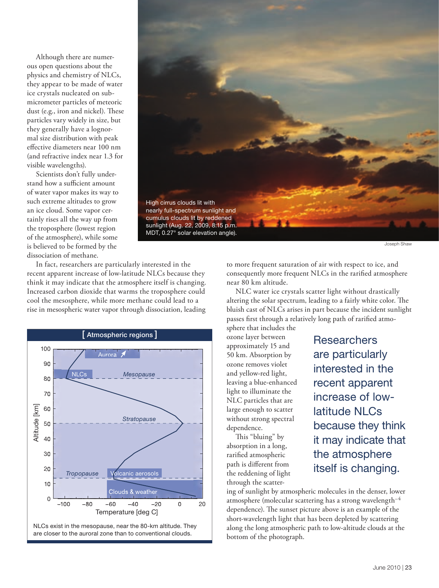Although there are numerous open questions about the physics and chemistry of NLCs, they appear to be made of water ice crystals nucleated on submicrometer particles of meteoric dust (e.g., iron and nickel). These particles vary widely in size, but they generally have a lognormal size distribution with peak effective diameters near 100 nm (and refractive index near 1.3 for visible wavelengths).

Scientists don't fully understand how a sufficient amount of water vapor makes its way to such extreme altitudes to grow an ice cloud. Some vapor certainly rises all the way up from the troposphere (lowest region of the atmosphere), while some is believed to be formed by the dissociation of methane.



Joseph Shaw

In fact, researchers are particularly interested in the recent apparent increase of low-latitude NLCs because they think it may indicate that the atmosphere itself is changing. Increased carbon dioxide that warms the troposphere could cool the mesosphere, while more methane could lead to a rise in mesospheric water vapor through dissociation, leading



to more frequent saturation of air with respect to ice, and consequently more frequent NLCs in the rarified atmosphere near 80 km altitude.

NLC water ice crystals scatter light without drastically altering the solar spectrum, leading to a fairly white color. The bluish cast of NLCs arises in part because the incident sunlight passes first through a relatively long path of rarified atmo-

sphere that includes the ozone layer between approximately 15 and 50 km. Absorption by ozone removes violet and yellow-red light, leaving a blue-enhanced light to illuminate the NLC particles that are large enough to scatter without strong spectral dependence.

This "bluing" by absorption in a long, rarified atmospheric path is different from the reddening of light through the scatter**Researchers** are particularly interested in the recent apparent increase of lowlatitude NLCs because they think it may indicate that the atmosphere itself is changing.

ing of sunlight by atmospheric molecules in the denser, lower atmosphere (molecular scattering has a strong wavelength<sup>-4</sup> dependence). The sunset picture above is an example of the short-wavelength light that has been depleted by scattering along the long atmospheric path to low-altitude clouds at the bottom of the photograph.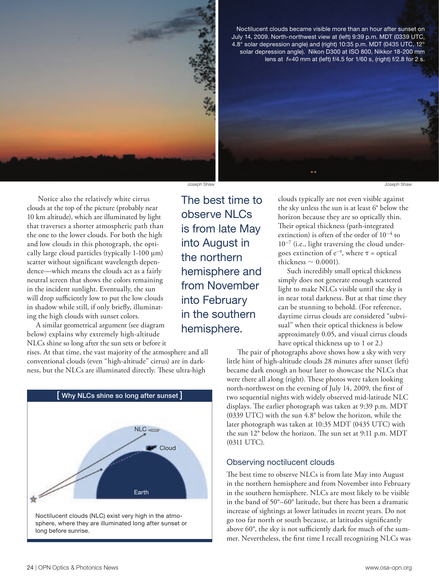

Noctilucent clouds became visible more than an hour after sunset on July 14, 2009. North-northwest view at (left) 9:39 p.m. MDT (0339 UTC, 4.8° solar depression angle) and (right) 10:35 p.m. MDT (0435 UTC, 12° solar depression angle). Nikon D300 at ISO 800, Nikkor 18-200 mm lens at *f*=40 mm at (left) f/4.5 for 1/60 s, (right) f/2.8 for 2 s.

 Notice also the relatively white cirrus clouds at the top of the picture (probably near 10 km altitude), which are illuminated by light that traverses a shorter atmospheric path than the one to the lower clouds. For both the high and low clouds in this photograph, the optically large cloud particles (typically 1-100 µm) scatter without significant wavelength dependence—which means the clouds act as a fairly neutral screen that shows the colors remaining in the incident sunlight. Eventually, the sun will drop sufficiently low to put the low clouds in shadow while still, if only briefly, illuminating the high clouds with sunset colors.

A similar geometrical argument (see diagram below) explains why extremely high-altitude NLCs shine so long after the sun sets or before it

rises. At that time, the vast majority of the atmosphere and all conventional clouds (even "high-altitude" cirrus) are in darkness, but the NLCs are illuminated directly. These ultra-high



Noctilucent clouds (NLC) exist very high in the atmosphere, where they are illuminated long after sunset or long before sunrise.

The best time to observe NLCs is from late May into August in the northern hemisphere and from November into February in the southern hemisphere.

clouds typically are not even visible against the sky unless the sun is at least 6° below the horizon because they are so optically thin. Their optical thickness (path-integrated extinction) is often of the order of  $10^{-4}$  to  $10^{-7}$  (i.e., light traversing the cloud undergoes extinction of  $e^{-\tau}$ , where  $\tau$  = optical thickness  $\sim$  0.0001).

Such incredibly small optical thickness simply does not generate enough scattered light to make NLCs visible until the sky is in near total darkness. But at that time they can be stunning to behold. (For reference, daytime cirrus clouds are considered "subvisual" when their optical thickness is below approximately 0.05, and visual cirrus clouds have optical thickness up to 1 or 2.)

 The pair of photographs above shows how a sky with very little hint of high-altitude clouds 28 minutes after sunset (left) became dark enough an hour later to showcase the NLCs that were there all along (right). These photos were taken looking north-northwest on the evening of July 14, 2009, the first of two sequential nights with widely observed mid-latitude NLC displays. The earlier photograph was taken at 9:39 p.m. MDT (0339 UTC) with the sun 4.8° below the horizon, while the later photograph was taken at 10:35 MDT (0435 UTC) with the sun 12° below the horizon. The sun set at 9:11 p.m. MDT (0311 UTC).

### Observing noctilucent clouds

The best time to observe NLCs is from late May into August in the northern hemisphere and from November into February in the southern hemisphere. NLCs are most likely to be visible in the band of 50°–60° latitude, but there has been a dramatic increase of sightings at lower latitudes in recent years. Do not go too far north or south because, at latitudes significantly above 60°, the sky is not sufficiently dark for much of the summer. Nevertheless, the first time I recall recognizing NLCs was